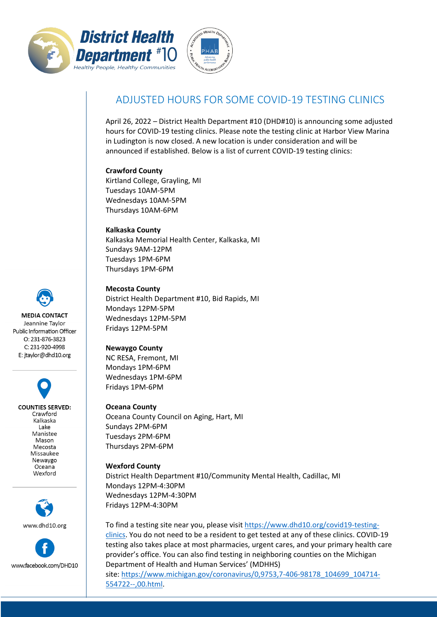



# ADJUSTED HOURS FOR SOME COVID-19 TESTING CLINICS

April 26, 2022 – District Health Department #10 (DHD#10) is announcing some adjusted hours for COVID-19 testing clinics. Please note the testing clinic at Harbor View Marina in Ludington is now closed. A new location is under consideration and will be announced if established. Below is a list of current COVID-19 testing clinics:

#### **Crawford County**

Kirtland College, Grayling, MI Tuesdays 10AM-5PM Wednesdays 10AM-5PM Thursdays 10AM-6PM

### **Kalkaska County** Kalkaska Memorial Health Center, Kalkaska, MI Sundays 9AM-12PM Tuesdays 1PM-6PM Thursdays 1PM-6PM

**Mecosta County**

District Health Department #10, Bid Rapids, MI Mondays 12PM-5PM Wednesdays 12PM-5PM Fridays 12PM-5PM

# **Newaygo County**

NC RESA, Fremont, MI Mondays 1PM-6PM Wednesdays 1PM-6PM Fridays 1PM-6PM

**Oceana County** Oceana County Council on Aging, Hart, MI Sundays 2PM-6PM Tuesdays 2PM-6PM Thursdays 2PM-6PM

# **Wexford County** District Health Department #10/Community Mental Health, Cadillac, MI Mondays 12PM-4:30PM Wednesdays 12PM-4:30PM Fridays 12PM-4:30PM

To find a testing site near you, please visit [https://www.dhd10.org/covid19-testing](https://www.dhd10.org/covid19-testing-clinics)[clinics.](https://www.dhd10.org/covid19-testing-clinics) You do not need to be a resident to get tested at any of these clinics. COVID-19 testing also takes place at most pharmacies, urgent cares, and your primary health care provider's office. You can also find testing in neighboring counties on the Michigan Department of Health and Human Services' (MDHHS)

site: [https://www.michigan.gov/coronavirus/0,9753,7-406-98178\\_104699\\_104714-](https://www.michigan.gov/coronavirus/0,9753,7-406-98178_104699_104714-554722--,00.html) [554722--,00.html.](https://www.michigan.gov/coronavirus/0,9753,7-406-98178_104699_104714-554722--,00.html)

**MEDIA CONTACT** Jeannine Taylor Public Information Officer O: 231-876-3823 C: 231-920-4998

E: jtaylor@dhd10.org

**COUNTIES SERVED:** Crawford Kalkaska Lake Manistee Mason Mecosta Missaukee Newaygo Oceana Wexford